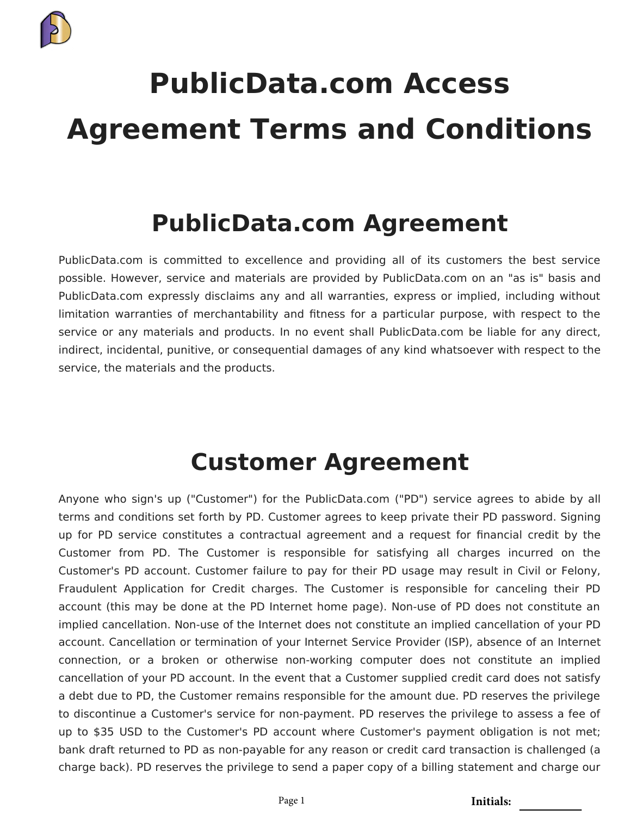

# **PublicData.com Access Agreement Terms and Conditions**

### **PublicData.com Agreement**

PublicData.com is committed to excellence and providing all of its customers the best service possible. However, service and materials are provided by PublicData.com on an "as is" basis and PublicData.com expressly disclaims any and all warranties, express or implied, including without limitation warranties of merchantability and fitness for a particular purpose, with respect to the service or any materials and products. In no event shall PublicData.com be liable for any direct, indirect, incidental, punitive, or consequential damages of any kind whatsoever with respect to the service, the materials and the products.

#### **Customer Agreement**

Anyone who sign's up ("Customer") for the PublicData.com ("PD") service agrees to abide by all terms and conditions set forth by PD. Customer agrees to keep private their PD password. Signing up for PD service constitutes a contractual agreement and a request for financial credit by the Customer from PD. The Customer is responsible for satisfying all charges incurred on the Customer's PD account. Customer failure to pay for their PD usage may result in Civil or Felony, Fraudulent Application for Credit charges. The Customer is responsible for canceling their PD account (this may be done at the PD Internet home page). Non-use of PD does not constitute an implied cancellation. Non-use of the Internet does not constitute an implied cancellation of your PD account. Cancellation or termination of your Internet Service Provider (ISP), absence of an Internet connection, or a broken or otherwise non-working computer does not constitute an implied cancellation of your PD account. In the event that a Customer supplied credit card does not satisfy a debt due to PD, the Customer remains responsible for the amount due. PD reserves the privilege to discontinue a Customer's service for non-payment. PD reserves the privilege to assess a fee of up to \$35 USD to the Customer's PD account where Customer's payment obligation is not met; bank draft returned to PD as non-payable for any reason or credit card transaction is challenged (a charge back). PD reserves the privilege to send a paper copy of a billing statement and charge our

Page 1 **Initials:**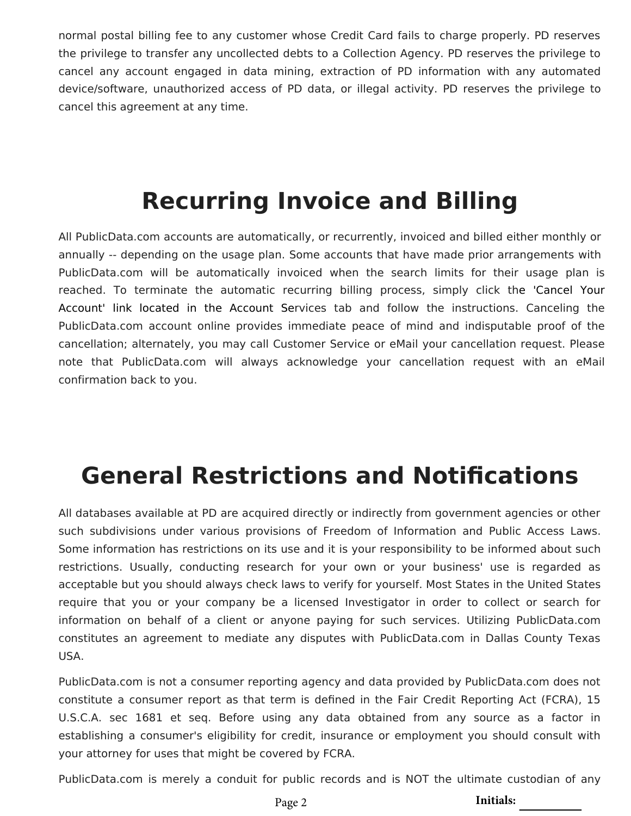normal postal billing fee to any customer whose Credit Card fails to charge properly. PD reserves the privilege to transfer any uncollected debts to a Collection Agency. PD reserves the privilege to cancel any account engaged in data mining, extraction of PD information with any automated device/software, unauthorized access of PD data, or illegal activity. PD reserves the privilege to cancel this agreement at any time.

## **Recurring Invoice and Billing**

All PublicData.com accounts are automatically, or recurrently, invoiced and billed either monthly or annually -- depending on the usage plan. Some accounts that have made prior arrangements with PublicData.com will be automatically invoiced when the search limits for their usage plan is reached. To terminate the automatic recurring billing process, simply click the '[Cancel Your](https://login.publicdata.com/cancel.html) Account' link located in the Account Services tab and follow the instructions. Canceling the PublicData.com account online provides immediate peace of mind and indisputable proof of the cancellation; alternately, you may call Customer Service or eMail your cancellation request. Please note that PublicData.com will always acknowledge your cancellation request with an eMail confirmation back to you.

# **General Restrictions and Notifications**

All databases available at PD are acquired directly or indirectly from government agencies or other such subdivisions under various provisions of Freedom of Information and Public Access Laws. Some information has restrictions on its use and it is your responsibility to be informed about such restrictions. Usually, conducting research for your own or your business' use is regarded as acceptable but you should always check laws to verify for yourself. Most States in the United States require that you or your company be a licensed Investigator in order to collect or search for information on behalf of a client or anyone paying for such services. Utilizing PublicData.com constitutes an agreement to mediate any disputes with PublicData.com in Dallas County Texas USA.

PublicData.com is not a consumer reporting agency and data provided by PublicData.com does not constitute a consumer report as that term is defined in the Fair Credit Reporting Act (FCRA), 15 U.S.C.A. sec 1681 et seq. Before using any data obtained from any source as a factor in establishing a consumer's eligibility for credit, insurance or employment you should consult with your attorney for uses that might be covered by FCRA.

PublicData.com is merely a conduit for public records and is NOT the ultimate custodian of any